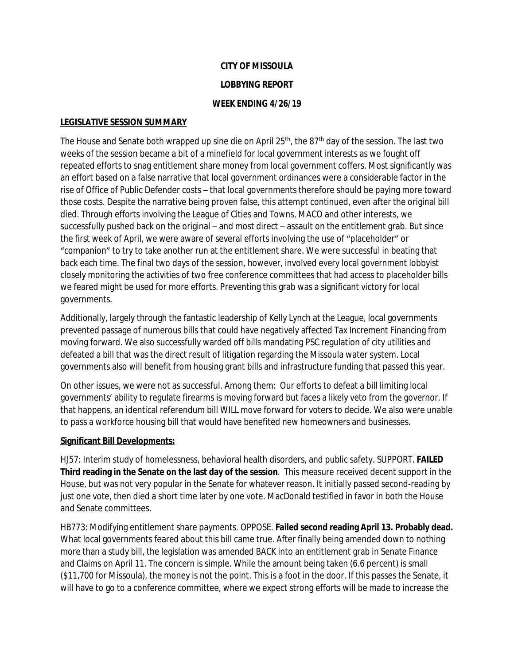# **CITY OF MISSOULA**

### **LOBBYING REPORT**

### **WEEK ENDING 4/26/19**

# **LEGISLATIVE SESSION SUMMARY**

The House and Senate both wrapped up sine die on April 25<sup>th</sup>, the 87<sup>th</sup> day of the session. The last two weeks of the session became a bit of a minefield for local government interests as we fought off repeated efforts to snag entitlement share money from local government coffers. Most significantly was an effort based on a false narrative that local government ordinances were a considerable factor in the rise of Office of Public Defender costs – that local governments therefore should be paying more toward those costs. Despite the narrative being proven false, this attempt continued, even after the original bill died. Through efforts involving the League of Cities and Towns, MACO and other interests, we successfully pushed back on the original – and most direct – assault on the entitlement grab. But since the first week of April, we were aware of several efforts involving the use of "placeholder" or "companion" to try to take another run at the entitlement share. We were successful in beating that back each time. The final two days of the session, however, involved every local government lobbyist closely monitoring the activities of two free conference committees that had access to placeholder bills we feared might be used for more efforts. Preventing this grab was a significant victory for local governments.

Additionally, largely through the fantastic leadership of Kelly Lynch at the League, local governments prevented passage of numerous bills that could have negatively affected Tax Increment Financing from moving forward. We also successfully warded off bills mandating PSC regulation of city utilities and defeated a bill that was the direct result of litigation regarding the Missoula water system. Local governments also will benefit from housing grant bills and infrastructure funding that passed this year.

On other issues, we were not as successful. Among them: Our efforts to defeat a bill limiting local governments' ability to regulate firearms is moving forward but faces a likely veto from the governor. If that happens, an identical referendum bill WILL move forward for voters to decide. We also were unable to pass a workforce housing bill that would have benefited new homeowners and businesses.

# **Significant Bill Developments:**

HJ57: Interim study of homelessness, behavioral health disorders, and public safety. SUPPORT. **FAILED Third reading in the Senate on the last day of the session**. This measure received decent support in the House, but was not very popular in the Senate for whatever reason. It initially passed second-reading by just one vote, then died a short time later by one vote. MacDonald testified in favor in both the House and Senate committees.

HB773: Modifying entitlement share payments. OPPOSE. **Failed second reading April 13. Probably dead.** What local governments feared about this bill came true. After finally being amended down to nothing more than a study bill, the legislation was amended BACK into an entitlement grab in Senate Finance and Claims on April 11. The concern is simple. While the amount being taken (6.6 percent) is small (\$11,700 for Missoula), the money is not the point. This is a foot in the door. If this passes the Senate, it will have to go to a conference committee, where we expect strong efforts will be made to increase the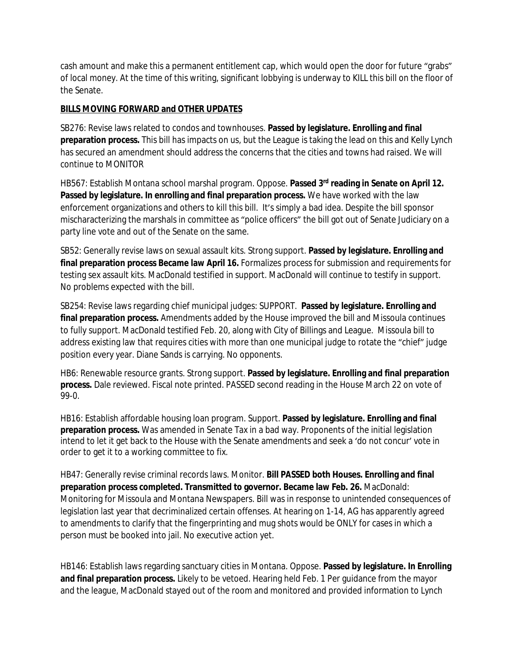cash amount and make this a permanent entitlement cap, which would open the door for future "grabs" of local money. At the time of this writing, significant lobbying is underway to KILL this bill on the floor of the Senate.

# **BILLS MOVING FORWARD and OTHER UPDATES**

SB276: Revise laws related to condos and townhouses. **Passed by legislature. Enrolling and final preparation process.** This bill has impacts on us, but the League is taking the lead on this and Kelly Lynch has secured an amendment should address the concerns that the cities and towns had raised. We will continue to MONITOR

HB567: Establish Montana school marshal program. Oppose. **Passed 3rd reading in Senate on April 12. Passed by legislature. In enrolling and final preparation process.** We have worked with the law enforcement organizations and others to kill this bill. It's simply a bad idea. Despite the bill sponsor mischaracterizing the marshals in committee as "police officers" the bill got out of Senate Judiciary on a party line vote and out of the Senate on the same.

SB52: Generally revise laws on sexual assault kits. Strong support. **Passed by legislature. Enrolling and final preparation process Became law April 16.** Formalizes process for submission and requirements for testing sex assault kits. MacDonald testified in support. MacDonald will continue to testify in support. No problems expected with the bill.

SB254: Revise laws regarding chief municipal judges: SUPPORT. **Passed by legislature. Enrolling and final preparation process.** Amendments added by the House improved the bill and Missoula continues to fully support. MacDonald testified Feb. 20, along with City of Billings and League. Missoula bill to address existing law that requires cities with more than one municipal judge to rotate the "chief" judge position every year. Diane Sands is carrying. No opponents.

HB6: Renewable resource grants. Strong support. **Passed by legislature. Enrolling and final preparation process.** Dale reviewed. Fiscal note printed. PASSED second reading in the House March 22 on vote of 99-0.

HB16: Establish affordable housing loan program. Support. **Passed by legislature. Enrolling and final preparation process.** Was amended in Senate Tax in a bad way. Proponents of the initial legislation intend to let it get back to the House with the Senate amendments and seek a 'do not concur' vote in order to get it to a working committee to fix.

HB47: Generally revise criminal records laws. Monitor. **Bill PASSED both Houses. Enrolling and final preparation process completed. Transmitted to governor. Became law Feb. 26.** MacDonald: Monitoring for Missoula and Montana Newspapers. Bill was in response to unintended consequences of legislation last year that decriminalized certain offenses. At hearing on 1-14, AG has apparently agreed to amendments to clarify that the fingerprinting and mug shots would be ONLY for cases in which a person must be booked into jail. No executive action yet.

HB146: Establish laws regarding sanctuary cities in Montana. Oppose. **Passed by legislature. In Enrolling and final preparation process.** Likely to be vetoed. Hearing held Feb. 1 Per guidance from the mayor and the league, MacDonald stayed out of the room and monitored and provided information to Lynch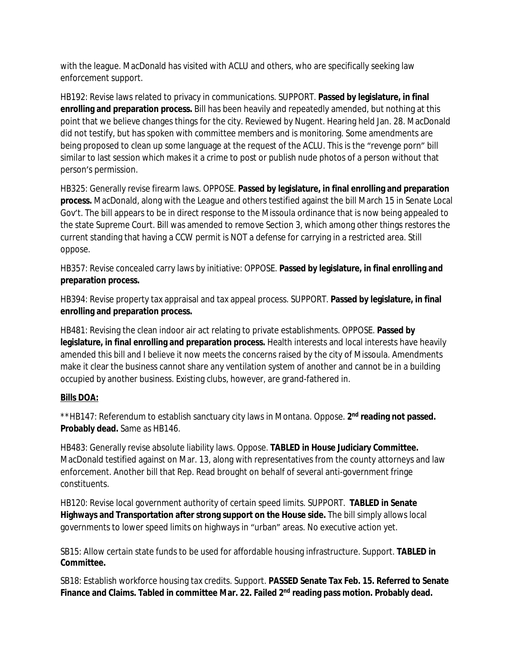with the league. MacDonald has visited with ACLU and others, who are specifically seeking law enforcement support.

HB192: Revise laws related to privacy in communications. SUPPORT. **Passed by legislature, in final enrolling and preparation process.** Bill has been heavily and repeatedly amended, but nothing at this point that we believe changes things for the city. Reviewed by Nugent. Hearing held Jan. 28. MacDonald did not testify, but has spoken with committee members and is monitoring. Some amendments are being proposed to clean up some language at the request of the ACLU. This is the "revenge porn" bill similar to last session which makes it a crime to post or publish nude photos of a person without that person's permission.

HB325: Generally revise firearm laws. OPPOSE. **Passed by legislature, in final enrolling and preparation process.** MacDonald, along with the League and others testified against the bill March 15 in Senate Local Gov't. The bill appears to be in direct response to the Missoula ordinance that is now being appealed to the state Supreme Court. Bill was amended to remove Section 3, which among other things restores the current standing that having a CCW permit is NOT a defense for carrying in a restricted area. Still oppose.

HB357: Revise concealed carry laws by initiative: OPPOSE. **Passed by legislature, in final enrolling and preparation process.**

HB394: Revise property tax appraisal and tax appeal process. SUPPORT. **Passed by legislature, in final enrolling and preparation process.**

HB481: Revising the clean indoor air act relating to private establishments. OPPOSE. **Passed by legislature, in final enrolling and preparation process.** Health interests and local interests have heavily amended this bill and I believe it now meets the concerns raised by the city of Missoula. Amendments make it clear the business cannot share any ventilation system of another and cannot be in a building occupied by another business. Existing clubs, however, are grand-fathered in.

# **Bills DOA:**

\*\*HB147: Referendum to establish sanctuary city laws in Montana. Oppose. 2<sup>nd</sup> reading not passed. **Probably dead.** Same as HB146.

HB483: Generally revise absolute liability laws. Oppose. **TABLED in House Judiciary Committee.**  MacDonald testified against on Mar. 13, along with representatives from the county attorneys and law enforcement. Another bill that Rep. Read brought on behalf of several anti-government fringe constituents.

HB120: Revise local government authority of certain speed limits. SUPPORT. **TABLED in Senate Highways and Transportation after strong support on the House side.** The bill simply allows local governments to lower speed limits on highways in "urban" areas. No executive action yet.

SB15: Allow certain state funds to be used for affordable housing infrastructure. Support. **TABLED in Committee.**

SB18: Establish workforce housing tax credits. Support. **PASSED Senate Tax Feb. 15. Referred to Senate Finance and Claims. Tabled in committee Mar. 22. Failed 2nd reading pass motion. Probably dead.**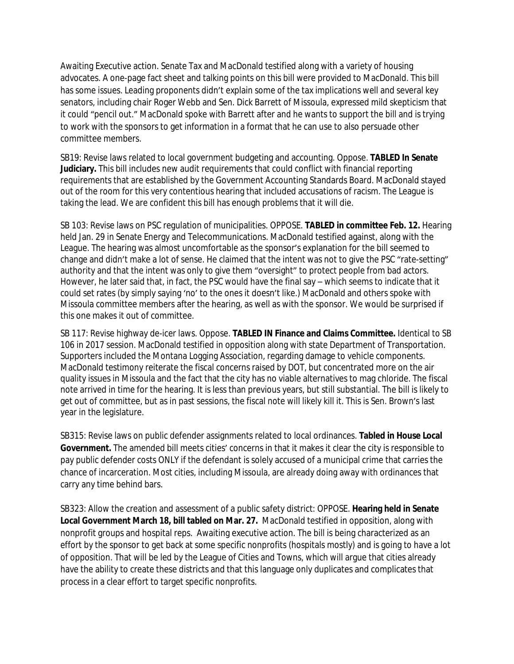Awaiting Executive action. Senate Tax and MacDonald testified along with a variety of housing advocates. A one-page fact sheet and talking points on this bill were provided to MacDonald. This bill has some issues. Leading proponents didn't explain some of the tax implications well and several key senators, including chair Roger Webb and Sen. Dick Barrett of Missoula, expressed mild skepticism that it could "pencil out." MacDonald spoke with Barrett after and he wants to support the bill and is trying to work with the sponsors to get information in a format that he can use to also persuade other committee members.

SB19: Revise laws related to local government budgeting and accounting. Oppose. **TABLED In Senate Judiciary.** This bill includes new audit requirements that could conflict with financial reporting requirements that are established by the Government Accounting Standards Board. MacDonald stayed out of the room for this very contentious hearing that included accusations of racism. The League is taking the lead. We are confident this bill has enough problems that it will die.

SB 103: Revise laws on PSC regulation of municipalities. OPPOSE. **TABLED in committee Feb. 12.** Hearing held Jan. 29 in Senate Energy and Telecommunications. MacDonald testified against, along with the League. The hearing was almost uncomfortable as the sponsor's explanation for the bill seemed to change and didn't make a lot of sense. He claimed that the intent was not to give the PSC "rate-setting" authority and that the intent was only to give them "oversight" to protect people from bad actors. However, he later said that, in fact, the PSC would have the final say – which seems to indicate that it could set rates (by simply saying 'no' to the ones it doesn't like.) MacDonald and others spoke with Missoula committee members after the hearing, as well as with the sponsor. We would be surprised if this one makes it out of committee.

SB 117: Revise highway de-icer laws. Oppose. **TABLED IN Finance and Claims Committee.** Identical to SB 106 in 2017 session. MacDonald testified in opposition along with state Department of Transportation. Supporters included the Montana Logging Association, regarding damage to vehicle components. MacDonald testimony reiterate the fiscal concerns raised by DOT, but concentrated more on the air quality issues in Missoula and the fact that the city has no viable alternatives to mag chloride. The fiscal note arrived in time for the hearing. It is less than previous years, but still substantial. The bill is likely to get out of committee, but as in past sessions, the fiscal note will likely kill it. This is Sen. Brown's last year in the legislature.

SB315: Revise laws on public defender assignments related to local ordinances. **Tabled in House Local Government.** The amended bill meets cities' concerns in that it makes it clear the city is responsible to pay public defender costs ONLY if the defendant is solely accused of a municipal crime that carries the chance of incarceration. Most cities, including Missoula, are already doing away with ordinances that carry any time behind bars.

SB323: Allow the creation and assessment of a public safety district: OPPOSE. **Hearing held in Senate Local Government March 18, bill tabled on Mar. 27.** MacDonald testified in opposition, along with nonprofit groups and hospital reps. Awaiting executive action. The bill is being characterized as an effort by the sponsor to get back at some specific nonprofits (hospitals mostly) and is going to have a lot of opposition. That will be led by the League of Cities and Towns, which will argue that cities already have the ability to create these districts and that this language only duplicates and complicates that process in a clear effort to target specific nonprofits.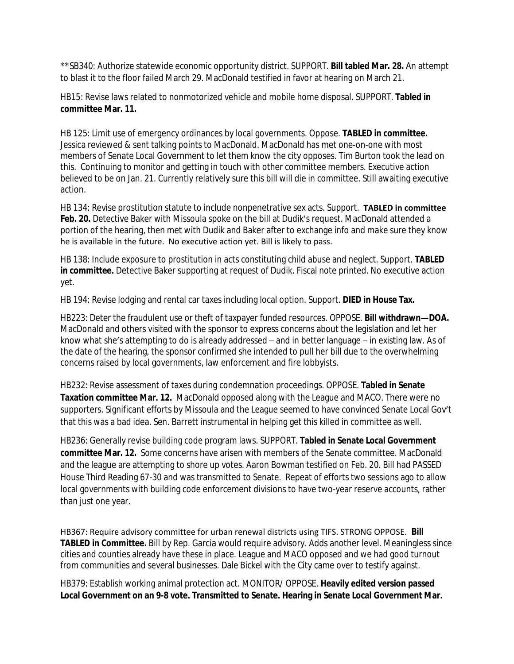\*\*SB340: Authorize statewide economic opportunity district. SUPPORT. **Bill tabled Mar. 28.** An attempt to blast it to the floor failed March 29. MacDonald testified in favor at hearing on March 21.

HB15: Revise laws related to nonmotorized vehicle and mobile home disposal. SUPPORT. **Tabled in committee Mar. 11.**

HB 125: Limit use of emergency ordinances by local governments. Oppose. **TABLED in committee.** Jessica reviewed & sent talking points to MacDonald. MacDonald has met one-on-one with most members of Senate Local Government to let them know the city opposes. Tim Burton took the lead on this. Continuing to monitor and getting in touch with other committee members. Executive action believed to be on Jan. 21. Currently relatively sure this bill will die in committee. Still awaiting executive action.

HB 134: Revise prostitution statute to include nonpenetrative sex acts. Support. **TABLED in committee**  Feb. 20. Detective Baker with Missoula spoke on the bill at Dudik's request. MacDonald attended a portion of the hearing, then met with Dudik and Baker after to exchange info and make sure they know he is available in the future. No executive action yet. Bill is likely to pass.

HB 138: Include exposure to prostitution in acts constituting child abuse and neglect. Support. **TABLED in committee.** Detective Baker supporting at request of Dudik. Fiscal note printed. No executive action yet.

HB 194: Revise lodging and rental car taxes including local option. Support. **DIED in House Tax.**

HB223: Deter the fraudulent use or theft of taxpayer funded resources. OPPOSE. **Bill withdrawn—DOA.**  MacDonald and others visited with the sponsor to express concerns about the legislation and let her know what she's attempting to do is already addressed – and in better language – in existing law. As of the date of the hearing, the sponsor confirmed she intended to pull her bill due to the overwhelming concerns raised by local governments, law enforcement and fire lobbyists.

HB232: Revise assessment of taxes during condemnation proceedings. OPPOSE. **Tabled in Senate Taxation committee Mar. 12.** MacDonald opposed along with the League and MACO. There were no supporters. Significant efforts by Missoula and the League seemed to have convinced Senate Local Gov't that this was a bad idea. Sen. Barrett instrumental in helping get this killed in committee as well.

HB236: Generally revise building code program laws. SUPPORT. **Tabled in Senate Local Government committee Mar. 12.** Some concerns have arisen with members of the Senate committee. MacDonald and the league are attempting to shore up votes. Aaron Bowman testified on Feb. 20. Bill had PASSED House Third Reading 67-30 and was transmitted to Senate. Repeat of efforts two sessions ago to allow local governments with building code enforcement divisions to have two-year reserve accounts, rather than just one year.

HB367: Require advisory committee for urban renewal districts using TIFS. STRONG OPPOSE. **Bill TABLED in Committee.** Bill by Rep. Garcia would require advisory. Adds another level. Meaningless since cities and counties already have these in place. League and MACO opposed and we had good turnout from communities and several businesses. Dale Bickel with the City came over to testify against.

HB379: Establish working animal protection act. MONITOR/ OPPOSE. **Heavily edited version passed Local Government on an 9-8 vote. Transmitted to Senate. Hearing in Senate Local Government Mar.**